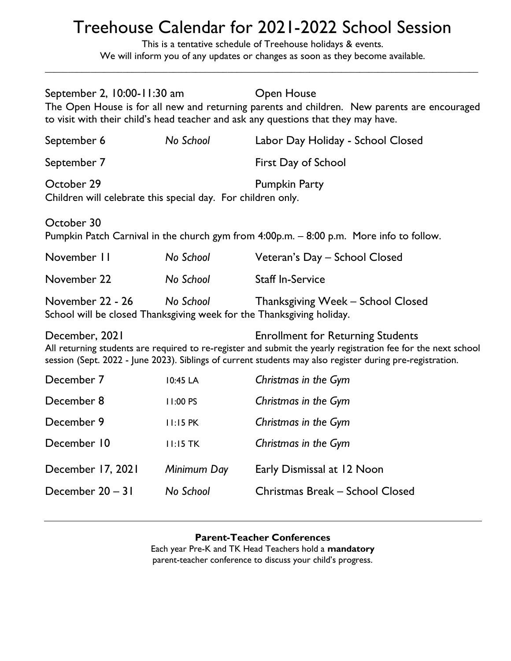## Treehouse Calendar for 2021-2022 School Session

This is a tentative schedule of Treehouse holidays & events. We will inform you of any updates or changes as soon as they become available.

\_\_\_\_\_\_\_\_\_\_\_\_\_\_\_\_\_\_\_\_\_\_\_\_\_\_\_\_\_\_\_\_\_\_\_\_\_\_\_\_\_\_\_\_\_\_\_\_\_\_\_\_\_\_\_\_\_\_\_\_\_\_\_\_\_\_\_\_\_\_\_\_\_\_\_\_\_\_\_\_\_\_\_\_\_\_\_\_\_\_\_\_\_\_\_

| September 2, 10:00-11:30 am                                                                                                                                                                                                                                                              |                 | <b>Open House</b><br>The Open House is for all new and returning parents and children. New parents are encouraged<br>to visit with their child's head teacher and ask any questions that they may have. |  |  |
|------------------------------------------------------------------------------------------------------------------------------------------------------------------------------------------------------------------------------------------------------------------------------------------|-----------------|---------------------------------------------------------------------------------------------------------------------------------------------------------------------------------------------------------|--|--|
| September 6                                                                                                                                                                                                                                                                              | No School       | Labor Day Holiday - School Closed                                                                                                                                                                       |  |  |
| September 7                                                                                                                                                                                                                                                                              |                 | First Day of School                                                                                                                                                                                     |  |  |
| October 29<br>Children will celebrate this special day. For children only.                                                                                                                                                                                                               |                 | <b>Pumpkin Party</b>                                                                                                                                                                                    |  |  |
| October 30<br>Pumpkin Patch Carnival in the church gym from 4:00p.m. - 8:00 p.m. More info to follow.                                                                                                                                                                                    |                 |                                                                                                                                                                                                         |  |  |
| November 11                                                                                                                                                                                                                                                                              | No School       | Veteran's Day - School Closed                                                                                                                                                                           |  |  |
| November 22                                                                                                                                                                                                                                                                              | No School       | <b>Staff In-Service</b>                                                                                                                                                                                 |  |  |
| November 22 - 26<br>No School<br>Thanksgiving Week - School Closed<br>School will be closed Thanksgiving week for the Thanksgiving holiday.                                                                                                                                              |                 |                                                                                                                                                                                                         |  |  |
| December, 2021<br><b>Enrollment for Returning Students</b><br>All returning students are required to re-register and submit the yearly registration fee for the next school<br>session (Sept. 2022 - June 2023). Siblings of current students may also register during pre-registration. |                 |                                                                                                                                                                                                         |  |  |
| December 7                                                                                                                                                                                                                                                                               | 10:45 LA        | Christmas in the Gym                                                                                                                                                                                    |  |  |
| December 8                                                                                                                                                                                                                                                                               | 11:00 PS        | Christmas in the Gym                                                                                                                                                                                    |  |  |
| December 9                                                                                                                                                                                                                                                                               | <b>II:15 PK</b> | Christmas in the Gym                                                                                                                                                                                    |  |  |
| December 10                                                                                                                                                                                                                                                                              | $11:15$ TK      | Christmas in the Gym                                                                                                                                                                                    |  |  |
| December 17, 2021                                                                                                                                                                                                                                                                        | Minimum Day     | Early Dismissal at 12 Noon                                                                                                                                                                              |  |  |
| December 20 - 31                                                                                                                                                                                                                                                                         | No School       | Christmas Break - School Closed                                                                                                                                                                         |  |  |

## Parent-Teacher Conferences

Each year Pre-K and TK Head Teachers hold a mandatory parent-teacher conference to discuss your child's progress.